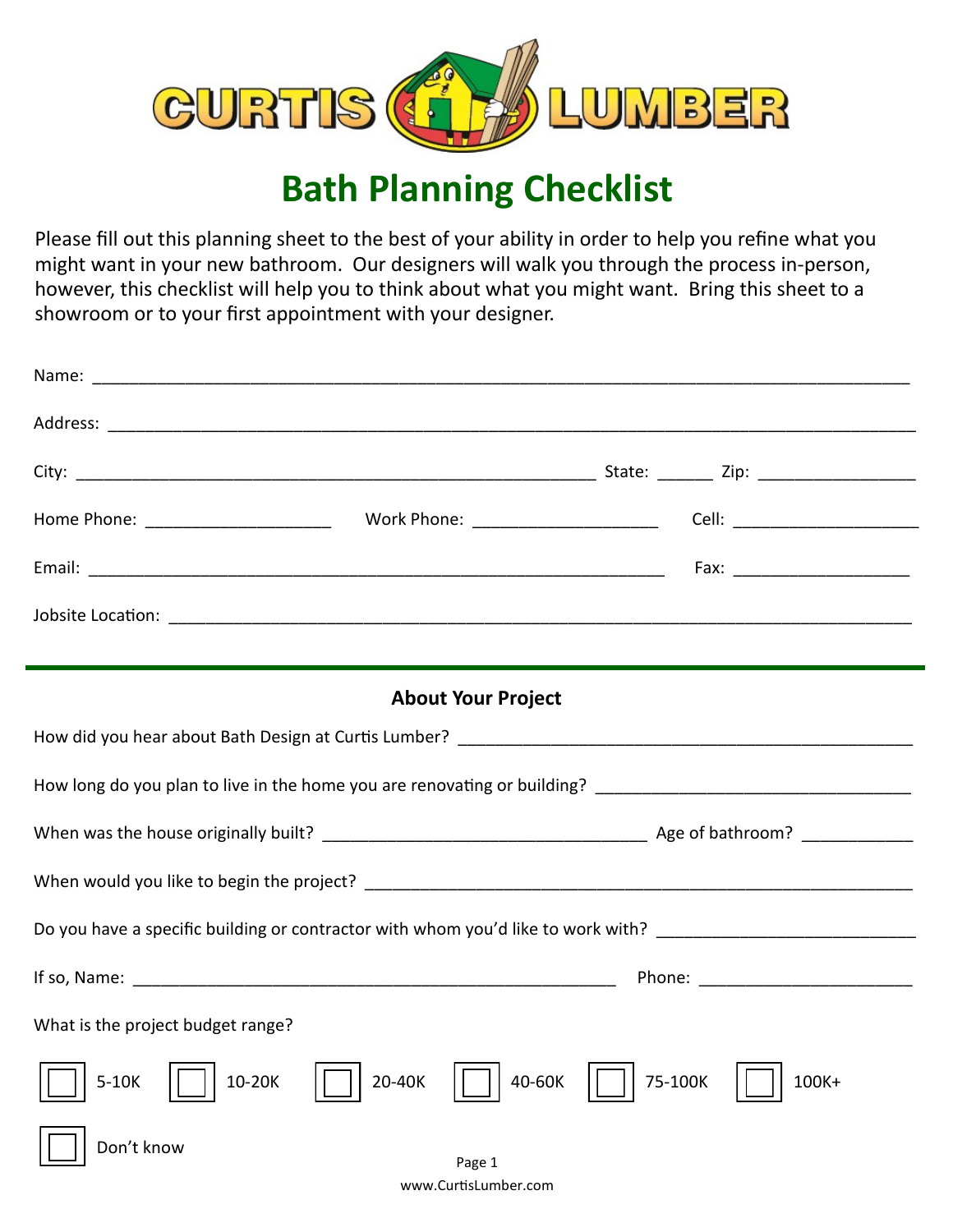

## **Bath Planning Checklist**

Please fill out this planning sheet to the best of your ability in order to help you refine what you might want in your new bathroom. Our designers will walk you through the process in-person, however, this checklist will help you to think about what you might want. Bring this sheet to a showroom or to your first appointment with your designer.

| <b>About Your Project</b>                                                                                      |                            |  |
|----------------------------------------------------------------------------------------------------------------|----------------------------|--|
|                                                                                                                |                            |  |
|                                                                                                                |                            |  |
|                                                                                                                |                            |  |
|                                                                                                                |                            |  |
| Do you have a specific building or contractor with whom you'd like to work with? _____________________________ |                            |  |
|                                                                                                                |                            |  |
| What is the project budget range?                                                                              |                            |  |
| $5-10K$<br>$10-20K$<br>20-40K                                                                                  | 40-60K<br>75-100K<br>100K+ |  |
| Don't know<br>Page 1                                                                                           |                            |  |
| www.CurtisLumber.com                                                                                           |                            |  |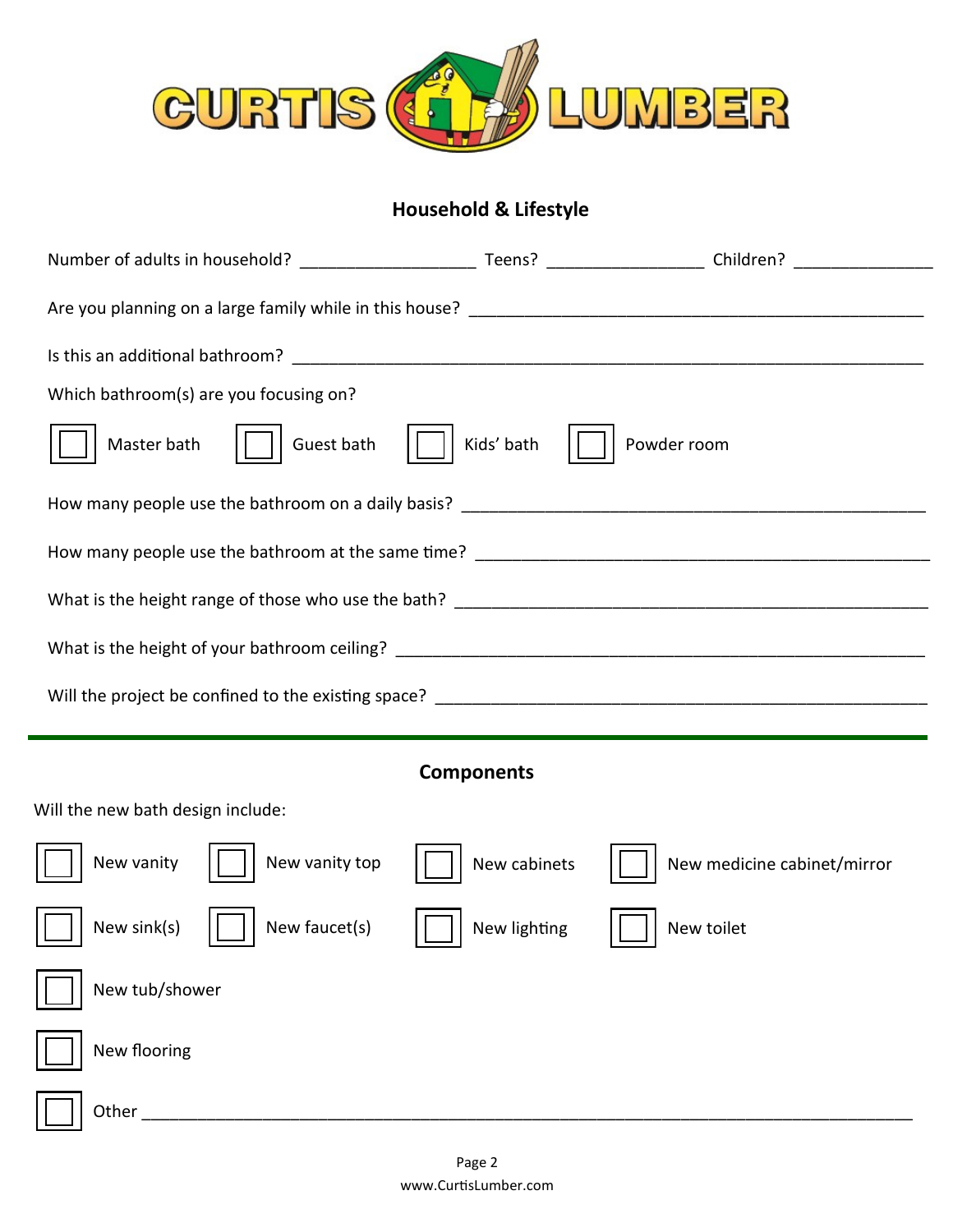

## **Household & Lifestyle**

| Number of adults in household? Number of adults in household? |              | Teens? ______________________ Children? |  |
|---------------------------------------------------------------|--------------|-----------------------------------------|--|
|                                                               |              |                                         |  |
|                                                               |              |                                         |  |
| Which bathroom(s) are you focusing on?                        |              |                                         |  |
| Master bath<br>Guest bath                                     | Kids' bath   | Powder room                             |  |
|                                                               |              |                                         |  |
|                                                               |              |                                         |  |
|                                                               |              |                                         |  |
|                                                               |              |                                         |  |
|                                                               |              |                                         |  |
|                                                               |              |                                         |  |
| <b>Components</b>                                             |              |                                         |  |
| Will the new bath design include:                             |              |                                         |  |
| New vanity top<br>New vanity                                  | New cabinets | New medicine cabinet/mirror             |  |
| New sink(s)<br>New faucet(s)                                  | New lighting | New toilet                              |  |
| New tub/shower                                                |              |                                         |  |
| New flooring                                                  |              |                                         |  |

Other \_\_\_\_\_\_\_\_\_\_\_\_\_\_\_\_\_\_\_\_\_\_\_\_\_\_\_\_\_\_\_\_\_\_\_\_\_\_\_\_\_\_\_\_\_\_\_\_\_\_\_\_\_\_\_\_\_\_\_\_\_\_\_\_\_\_\_\_\_\_\_\_\_\_\_\_\_\_\_\_\_\_\_